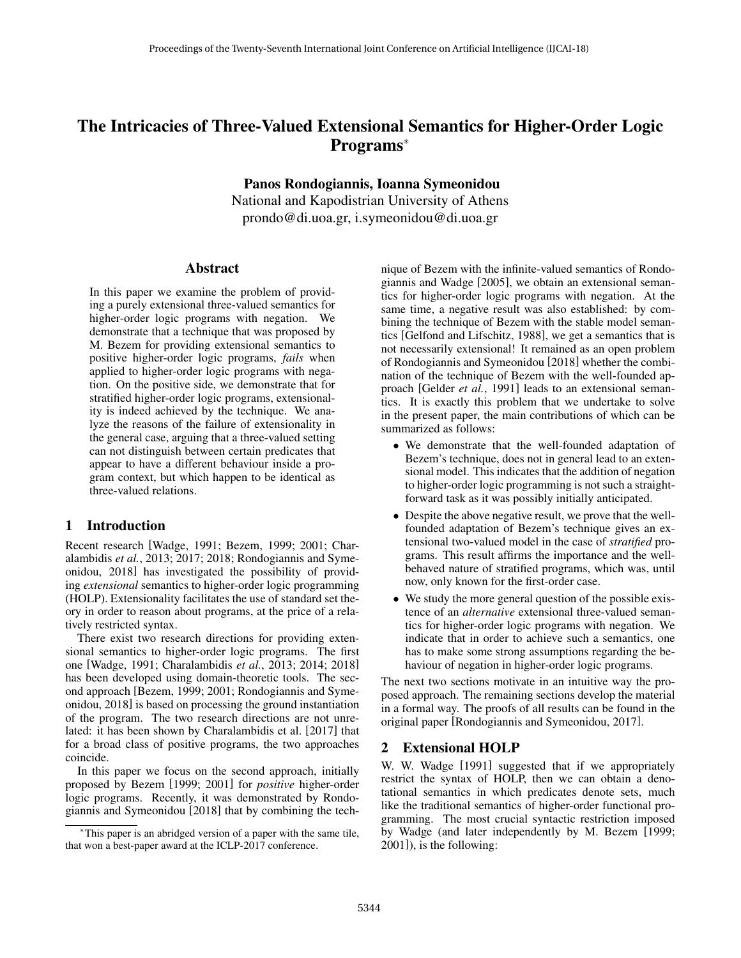# The Intricacies of Three-Valued Extensional Semantics for Higher-Order Logic Programs<sup>∗</sup>

Panos Rondogiannis, Ioanna Symeonidou

National and Kapodistrian University of Athens prondo@di.uoa.gr, i.symeonidou@di.uoa.gr

#### Abstract

In this paper we examine the problem of providing a purely extensional three-valued semantics for higher-order logic programs with negation. We demonstrate that a technique that was proposed by M. Bezem for providing extensional semantics to positive higher-order logic programs, *fails* when applied to higher-order logic programs with negation. On the positive side, we demonstrate that for stratified higher-order logic programs, extensionality is indeed achieved by the technique. We analyze the reasons of the failure of extensionality in the general case, arguing that a three-valued setting can not distinguish between certain predicates that appear to have a different behaviour inside a program context, but which happen to be identical as three-valued relations.

# 1 Introduction

Recent research [Wadge, 1991; Bezem, 1999; 2001; Charalambidis *et al.*, 2013; 2017; 2018; Rondogiannis and Symeonidou, 2018] has investigated the possibility of providing *extensional* semantics to higher-order logic programming (HOLP). Extensionality facilitates the use of standard set theory in order to reason about programs, at the price of a relatively restricted syntax.

There exist two research directions for providing extensional semantics to higher-order logic programs. The first one [Wadge, 1991; Charalambidis *et al.*, 2013; 2014; 2018] has been developed using domain-theoretic tools. The second approach [Bezem, 1999; 2001; Rondogiannis and Symeonidou, 2018] is based on processing the ground instantiation of the program. The two research directions are not unrelated: it has been shown by Charalambidis et al. [2017] that for a broad class of positive programs, the two approaches coincide.

In this paper we focus on the second approach, initially proposed by Bezem [1999; 2001] for *positive* higher-order logic programs. Recently, it was demonstrated by Rondogiannis and Symeonidou [2018] that by combining the technique of Bezem with the infinite-valued semantics of Rondogiannis and Wadge [2005], we obtain an extensional semantics for higher-order logic programs with negation. At the same time, a negative result was also established: by combining the technique of Bezem with the stable model semantics [Gelfond and Lifschitz, 1988], we get a semantics that is not necessarily extensional! It remained as an open problem of Rondogiannis and Symeonidou [2018] whether the combination of the technique of Bezem with the well-founded approach [Gelder *et al.*, 1991] leads to an extensional semantics. It is exactly this problem that we undertake to solve in the present paper, the main contributions of which can be summarized as follows:

- We demonstrate that the well-founded adaptation of Bezem's technique, does not in general lead to an extensional model. This indicates that the addition of negation to higher-order logic programming is not such a straightforward task as it was possibly initially anticipated.
- Despite the above negative result, we prove that the wellfounded adaptation of Bezem's technique gives an extensional two-valued model in the case of *stratified* programs. This result affirms the importance and the wellbehaved nature of stratified programs, which was, until now, only known for the first-order case.
- We study the more general question of the possible existence of an *alternative* extensional three-valued semantics for higher-order logic programs with negation. We indicate that in order to achieve such a semantics, one has to make some strong assumptions regarding the behaviour of negation in higher-order logic programs.

The next two sections motivate in an intuitive way the proposed approach. The remaining sections develop the material in a formal way. The proofs of all results can be found in the original paper [Rondogiannis and Symeonidou, 2017].

# 2 Extensional HOLP

W. W. Wadge [1991] suggested that if we appropriately restrict the syntax of HOLP, then we can obtain a denotational semantics in which predicates denote sets, much like the traditional semantics of higher-order functional programming. The most crucial syntactic restriction imposed by Wadge (and later independently by M. Bezem [1999; 2001]), is the following:

<sup>∗</sup>This paper is an abridged version of a paper with the same tile, that won a best-paper award at the ICLP-2017 conference.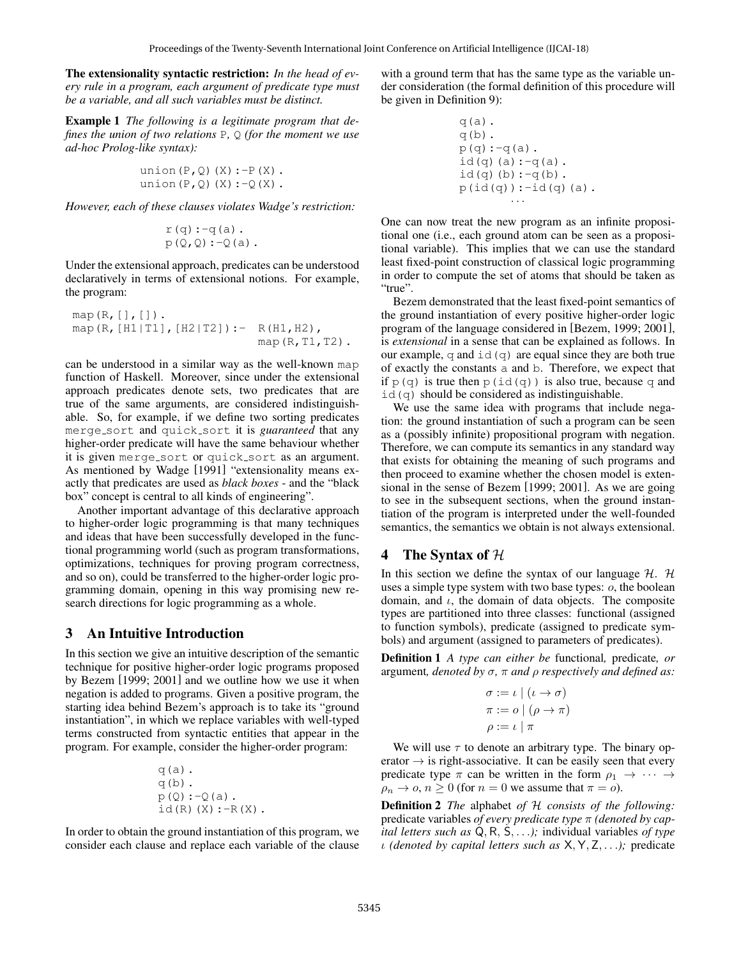The extensionality syntactic restriction: *In the head of every rule in a program, each argument of predicate type must be a variable, and all such variables must be distinct.*

Example 1 *The following is a legitimate program that defines the union of two relations* P*,* Q *(for the moment we use ad-hoc Prolog-like syntax):*

$$
\begin{array}{c}\n\text{union}(P,Q) (X) :- P(X) . \\
\text{union}(P,Q) (X) :- Q(X) .\n\end{array}
$$

*However, each of these clauses violates Wadge's restriction:*

$$
r(q) :-q(a) .
$$
  
 
$$
p(Q,Q) :-Q(a) .
$$

Under the extensional approach, predicates can be understood declaratively in terms of extensional notions. For example, the program:

```
map(R, [] , [].
map(R, [H1|T1], [H2|T2]): - R(H1, H2),
                            map(R,T1,T2).
```
can be understood in a similar way as the well-known map function of Haskell. Moreover, since under the extensional approach predicates denote sets, two predicates that are true of the same arguments, are considered indistinguishable. So, for example, if we define two sorting predicates merge sort and quick sort it is *guaranteed* that any higher-order predicate will have the same behaviour whether it is given merge-sort or quick-sort as an argument. As mentioned by Wadge [1991] "extensionality means exactly that predicates are used as *black boxes* - and the "black box" concept is central to all kinds of engineering".

Another important advantage of this declarative approach to higher-order logic programming is that many techniques and ideas that have been successfully developed in the functional programming world (such as program transformations, optimizations, techniques for proving program correctness, and so on), could be transferred to the higher-order logic programming domain, opening in this way promising new research directions for logic programming as a whole.

### 3 An Intuitive Introduction

In this section we give an intuitive description of the semantic technique for positive higher-order logic programs proposed by Bezem [1999; 2001] and we outline how we use it when negation is added to programs. Given a positive program, the starting idea behind Bezem's approach is to take its "ground instantiation", in which we replace variables with well-typed terms constructed from syntactic entities that appear in the program. For example, consider the higher-order program:

q(a). q(b). p(Q):-Q(a). id(R)(X):-R(X).

In order to obtain the ground instantiation of this program, we consider each clause and replace each variable of the clause with a ground term that has the same type as the variable under consideration (the formal definition of this procedure will be given in Definition 9):

$$
q(a)
$$
.  
\n $q(b)$ .  
\n $p(q) :- q(a)$ .  
\n $id(q) (a) :- q(a)$ .  
\n $p(id(q)) :- id(q) (a)$ .  
\n...

One can now treat the new program as an infinite propositional one (i.e., each ground atom can be seen as a propositional variable). This implies that we can use the standard least fixed-point construction of classical logic programming in order to compute the set of atoms that should be taken as "true".

Bezem demonstrated that the least fixed-point semantics of the ground instantiation of every positive higher-order logic program of the language considered in [Bezem, 1999; 2001], is *extensional* in a sense that can be explained as follows. In our example, q and  $id(q)$  are equal since they are both true of exactly the constants a and b. Therefore, we expect that if  $p(q)$  is true then  $p(id(q))$  is also true, because q and  $id(q)$  should be considered as indistinguishable.

We use the same idea with programs that include negation: the ground instantiation of such a program can be seen as a (possibly infinite) propositional program with negation. Therefore, we can compute its semantics in any standard way that exists for obtaining the meaning of such programs and then proceed to examine whether the chosen model is extensional in the sense of Bezem [1999; 2001]. As we are going to see in the subsequent sections, when the ground instantiation of the program is interpreted under the well-founded semantics, the semantics we obtain is not always extensional.

### 4 The Syntax of  $H$

In this section we define the syntax of our language  $H$ . H uses a simple type system with two base types: o, the boolean domain, and  $\iota$ , the domain of data objects. The composite types are partitioned into three classes: functional (assigned to function symbols), predicate (assigned to predicate symbols) and argument (assigned to parameters of predicates).

Definition 1 *A type can either be* functional*,* predicate*, or* argument*, denoted by* σ*,* π *and* ρ *respectively and defined as:*

$$
\sigma := \iota \mid (\iota \to \sigma)
$$

$$
\pi := \omicron \mid (\rho \to \pi)
$$

$$
\rho := \iota \mid \pi
$$

We will use  $\tau$  to denote an arbitrary type. The binary operator  $\rightarrow$  is right-associative. It can be easily seen that every predicate type  $\pi$  can be written in the form  $\rho_1 \rightarrow \cdots \rightarrow$  $\rho_n \to o, n \geq 0$  (for  $n = 0$  we assume that  $\pi = o$ ).

Definition 2 *The* alphabet *of* H *consists of the following:* predicate variables *of every predicate type* π *(denoted by capital letters such as* Q, R, S, . . .*);* individual variables *of type* ι *(denoted by capital letters such as* X, Y, Z, . . .*);* predicate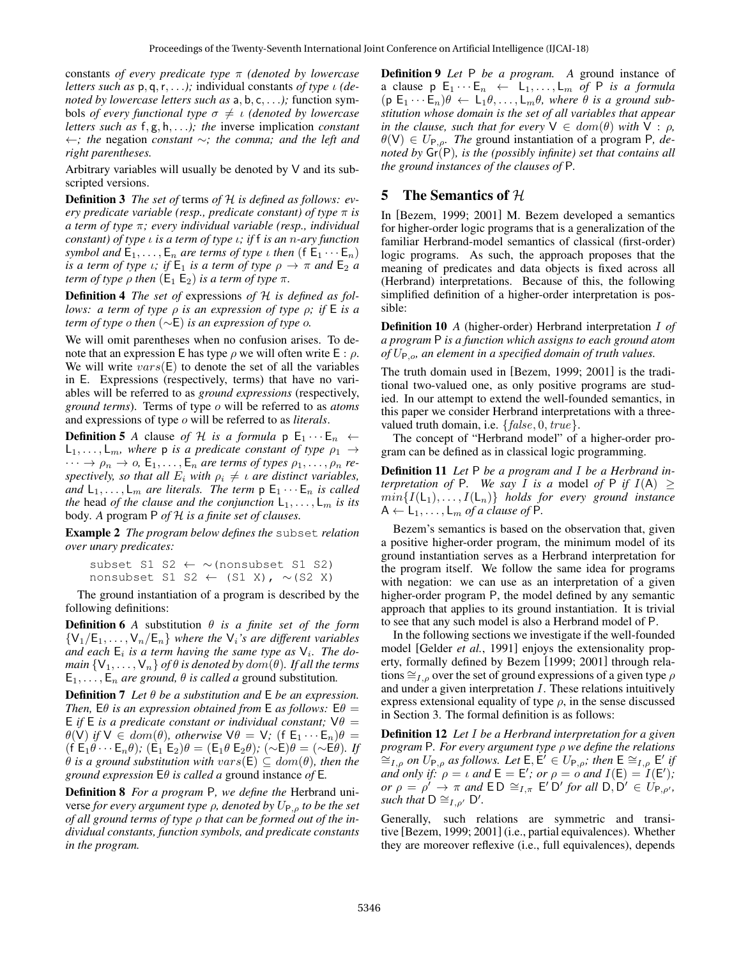constants *of every predicate type* π *(denoted by lowercase letters such as* p, q,r, . . .*);* individual constants *of type* ι *(denoted by lowercase letters such as* a, b, c, . . .*);* function symbols *of every functional type*  $\sigma \neq \iota$  *(denoted by lowercase letters such as* f, g, h, . . .*); the* inverse implication *constant* ←*; the* negation *constant* ∼*; the comma; and the left and right parentheses.*

Arbitrary variables will usually be denoted by V and its subscripted versions.

Definition 3 *The set of* terms *of* H *is defined as follows: every predicate variable (resp., predicate constant) of type* π *is a term of type* π*; every individual variable (resp., individual constant) of type* ι *is a term of type* ι*; if* f *is an* n*-ary function symbol and*  $E_1, \ldots, E_n$  *are terms of type ι then* ( $E_1 \cdots E_n$ ) *is a term of type ι*; *if*  $E_1$  *is a term of type*  $\rho \rightarrow \pi$  *and*  $E_2$  *a term of type*  $\rho$  *then*  $(E_1 E_2)$  *is a term of type*  $\pi$ *.* 

Definition 4 *The set of* expressions *of* H *is defined as follows: a term of type* ρ *is an expression of type* ρ*; if* E *is a term of type* o *then* (∼E) *is an expression of type* o*.*

We will omit parentheses when no confusion arises. To denote that an expression E has type  $\rho$  we will often write E :  $\rho$ . We will write  $vars(E)$  to denote the set of all the variables in E. Expressions (respectively, terms) that have no variables will be referred to as *ground expressions* (respectively, *ground terms*). Terms of type o will be referred to as *atoms* and expressions of type o will be referred to as *literals*.

**Definition 5** *A* clause *of H is a formula*  $p \n\mathsf{E}_1 \cdots \mathsf{E}_n \leftarrow$  $L_1, \ldots, L_m$ , where **p** is a predicate constant of type  $\rho_1 \rightarrow$  $\cdots \rightarrow \rho_n \rightarrow o$ ,  $\mathsf{E}_1, \ldots, \mathsf{E}_n$  *are terms of types*  $\rho_1, \ldots, \rho_n$  *respectively, so that all*  $E_i$  *with*  $\rho_i \neq \iota$  *are distinct variables, and*  $L_1, \ldots, L_m$  *are literals. The term*  $p \n\mathsf{E}_1 \cdots \mathsf{E}_n$  *is called the* head *of the clause and the conjunction*  $L_1, \ldots, L_m$  *is its* body*. A* program P *of* H *is a finite set of clauses.*

Example 2 *The program below defines the* subset *relation over unary predicates:*

```
subset S1 S2 ← ∼(nonsubset S1 S2)
nonsubset S1 S2 ← (S1 X), ∼(S2 X)
```
The ground instantiation of a program is described by the following definitions:

**Definition 6** *A* substitution  $\theta$  *is a finite set of the form*  ${V_1/E_1, \ldots, V_n/E_n}$  *where the*  $V_i$ *'s are different variables* and each  $E_i$  is a term having the same type as  $V_i$ . The do*main*  $\{V_1, \ldots, V_n\}$  *of*  $\theta$  *is denoted by dom*( $\theta$ )*. If all the terms*  $E_1, \ldots, E_n$  *are ground,*  $\theta$  *is called a ground substitution.* 

Definition 7 *Let* θ *be a substitution and* E *be an expression. Then,*  $E\theta$  *is an expression obtained from*  $E$  *as follows:*  $E\theta =$ E *if* E *is a predicate constant or individual constant*;  $V\theta =$  $\theta$ (V) *if*  $V \in dom(\theta)$ *, otherwise*  $V\theta = V$ *;* (f  $E_1 \cdots E_n \theta$ )  $(f \n\mathsf{E}_1 \theta \cdots \mathsf{E}_n \theta)$ ;  $(\mathsf{E}_1 \n\mathsf{E}_2) \theta = (\mathsf{E}_1 \theta \n\mathsf{E}_2 \theta)$ ;  $(\sim \mathsf{E}) \theta = (\sim \mathsf{E} \theta)$ *. If*  $\theta$  *is a ground substitution with vars*( $E$ )  $\subseteq$  *dom*( $\theta$ )*, then the ground expression* Eθ *is called a* ground instance *of* E*.*

Definition 8 *For a program* P*, we define the* Herbrand universe *for every argument type* ρ*, denoted by* UP,ρ *to be the set of all ground terms of type* ρ *that can be formed out of the individual constants, function symbols, and predicate constants in the program.*

Definition 9 *Let* P *be a program. A* ground instance of a clause  $p \in_1 \cdots E_n \leftarrow L_1, \ldots, L_m$  of P is a formula  $(p \, \mathsf{E}_1 \cdots \mathsf{E}_n) \theta \leftarrow \mathsf{L}_1 \theta, \ldots, \mathsf{L}_m \theta$ , where  $\theta$  is a ground sub*stitution whose domain is the set of all variables that appear in the clause, such that for every*  $V \in dom(\theta)$  *with*  $V : \rho$ *,*  $\theta(V) \in U_{P.o.}$  The ground instantiation of a program P, de*noted by* Gr(P)*, is the (possibly infinite) set that contains all the ground instances of the clauses of* P*.*

# 5 The Semantics of  $H$

In [Bezem, 1999; 2001] M. Bezem developed a semantics for higher-order logic programs that is a generalization of the familiar Herbrand-model semantics of classical (first-order) logic programs. As such, the approach proposes that the meaning of predicates and data objects is fixed across all (Herbrand) interpretations. Because of this, the following simplified definition of a higher-order interpretation is possible:

Definition 10 *A* (higher-order) Herbrand interpretation I *of a program* P *is a function which assigns to each ground atom of* UP,o*, an element in a specified domain of truth values.*

The truth domain used in [Bezem, 1999; 2001] is the traditional two-valued one, as only positive programs are studied. In our attempt to extend the well-founded semantics, in this paper we consider Herbrand interpretations with a threevalued truth domain, i.e.  ${false, 0, true}$ .

The concept of "Herbrand model" of a higher-order program can be defined as in classical logic programming.

Definition 11 *Let* P *be a program and* I *be a Herbrand interpretation of* P. We say I is a model of P if  $I(A) \geq$  $min\{I(\mathsf{L}_1),\ldots,I(\mathsf{L}_n)\}\$  *holds for every ground instance*  $A \leftarrow L_1, \ldots, L_m$  *of a clause of* P.

Bezem's semantics is based on the observation that, given a positive higher-order program, the minimum model of its ground instantiation serves as a Herbrand interpretation for the program itself. We follow the same idea for programs with negation: we can use as an interpretation of a given higher-order program P, the model defined by any semantic approach that applies to its ground instantiation. It is trivial to see that any such model is also a Herbrand model of P.

In the following sections we investigate if the well-founded model [Gelder *et al.*, 1991] enjoys the extensionality property, formally defined by Bezem [1999; 2001] through relations  $\cong_{I,\rho}$  over the set of ground expressions of a given type  $\rho$ and under a given interpretation I. These relations intuitively express extensional equality of type  $\rho$ , in the sense discussed in Section 3. The formal definition is as follows:

Definition 12 *Let* I *be a Herbrand interpretation for a given program* P*. For every argument type* ρ *we define the relations*  $\cong$ <sub>*L*, $\rho$ </sub> *on*  $U_{\mathsf{P},\rho}$  *as follows. Let* **E**, **E**<sup>*i*</sup> ∈  $U_{\mathsf{P},\rho}$ *; then* **E**  $\cong$ <sub>*L*, $\rho$ </sub> **E**<sup>*'*</sup> *if and only if:*  $\rho = \iota$  *and*  $E = E'$ ; *or*  $\rho = \rho'$  *and*  $I(E) = I(E')$ ; *or*  $\rho = \rho' \rightarrow \pi$  *and*  $\mathsf{ED} \cong_{I,\pi} \mathsf{E}' \mathsf{D}'$  *for all*  $\mathsf{D}, \mathsf{D}' \in U_{\mathsf{P},\rho'},$ *such that*  $D \cong_{I,\rho'} D'$ .

Generally, such relations are symmetric and transitive [Bezem, 1999; 2001] (i.e., partial equivalences). Whether they are moreover reflexive (i.e., full equivalences), depends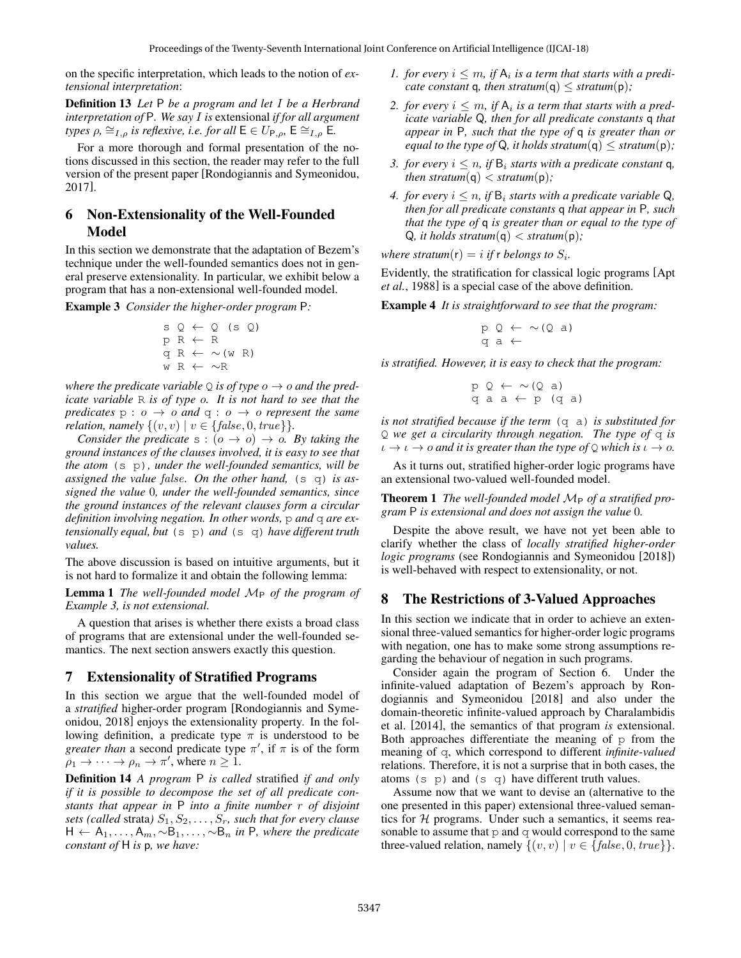on the specific interpretation, which leads to the notion of *extensional interpretation*:

Definition 13 *Let* P *be a program and let* I *be a Herbrand interpretation of* P*. We say* I *is* extensional *if for all argument types*  $\rho$ ,  $\cong$ <sub>*I*, $\rho$ </sub> *is reflexive, i.e. for all*  $\mathsf{E} \in U_{\mathsf{P},\rho}$ ,  $\mathsf{E} \cong$ <sub>*I*, $\rho$ </sub> **E**.

For a more thorough and formal presentation of the notions discussed in this section, the reader may refer to the full version of the present paper [Rondogiannis and Symeonidou, 2017].

### 6 Non-Extensionality of the Well-Founded Model

In this section we demonstrate that the adaptation of Bezem's technique under the well-founded semantics does not in general preserve extensionality. In particular, we exhibit below a program that has a non-extensional well-founded model.

Example 3 *Consider the higher-order program* P*:*

$$
S \ Q \leftarrow Q \ (S \ Q)
$$
  
\n
$$
P \ R \leftarrow R
$$
  
\n
$$
q \ R \leftarrow \sim (w \ R)
$$
  
\n
$$
w \ R \leftarrow \sim R
$$

*where the predicate variable*  $Q$  *is of type*  $o \rightarrow o$  *and the predicate variable* R *is of type* o*. It is not hard to see that the predicates*  $p : o \rightarrow o$  *and*  $q : o \rightarrow o$  *represent the same relation, namely*  $\{(v, v) | v \in \{false, 0, true\}\}.$ 

*Consider the predicate*  $s : (o \rightarrow o) \rightarrow o$ *. By taking the ground instances of the clauses involved, it is easy to see that the atom* (s p)*, under the well-founded semantics, will be assigned the value* false*. On the other hand,* (s q) *is assigned the value* 0*, under the well-founded semantics, since the ground instances of the relevant clauses form a circular definition involving negation. In other words, p and q are extensionally equal, but* (s p) *and* (s q) *have different truth values.*

The above discussion is based on intuitive arguments, but it is not hard to formalize it and obtain the following lemma:

**Lemma 1** *The well-founded model*  $M_P$  *of the program of Example 3, is not extensional.*

A question that arises is whether there exists a broad class of programs that are extensional under the well-founded semantics. The next section answers exactly this question.

#### 7 Extensionality of Stratified Programs

In this section we argue that the well-founded model of a *stratified* higher-order program [Rondogiannis and Symeonidou, 2018] enjoys the extensionality property. In the following definition, a predicate type  $\pi$  is understood to be *greater than* a second predicate type  $\pi'$ , if  $\pi$  is of the form  $\rho_1 \to \cdots \to \rho_n \to \pi'$ , where  $n \geq 1$ .

Definition 14 *A program* P *is called* stratified *if and only if it is possible to decompose the set of all predicate constants that appear in* P *into a finite number* r *of disjoint sets (called strata)*  $S_1, S_2, \ldots, S_r$ *, such that for every clause* H ← A1, . . . , Am, ∼B1, . . . , ∼B<sup>n</sup> *in* P*, where the predicate constant of* H *is* p*, we have:*

- *1. for every*  $i \leq m$ , if  $A_i$  is a term that starts with a predi*cate constant* **q***, then stratum* $(q) \leq$  *stratum* $(p)$ *;*
- 2. for every  $i \leq m$ , if  $A_i$  is a term that starts with a pred*icate variable* Q*, then for all predicate constants* q *that appear in* P*, such that the type of* q *is greater than or equal to the type of* Q, *it holds stratum*(q)  $\leq$  *stratum*(p);
- *3. for every*  $i \leq n$ , if  $B_i$  *starts with a predicate constant* q, *then stratum*( $q$ )  $\lt$  *stratum*( $p$ );
- *4. for every*  $i \leq n$ , if  $B_i$  *starts with a predicate variable*  $Q_i$ , *then for all predicate constants* q *that appear in* P*, such that the type of* q *is greater than or equal to the type of*  $Q$ *, it holds stratum* $(q)$  < *stratum* $(p)$ *;*

where stratum( $r$ ) = *i* if  $r$  belongs to  $S_i$ .

Evidently, the stratification for classical logic programs [Apt *et al.*, 1988] is a special case of the above definition.

Example 4 *It is straightforward to see that the program:*

$$
\begin{array}{l} p \ Q \leftarrow \sim (Q \ a) \\ q \ a \leftarrow \end{array}
$$

*is stratified. However, it is easy to check that the program:*

$$
\begin{array}{ccc}\np & Q & \leftarrow & \sim (Q \text{ a}) \\
q & a & a \leftarrow p \quad (q \text{ a})\n\end{array}
$$

*is not stratified because if the term* (q a) *is substituted for* Q *we get a circularity through negation. The type of* q *is*  $\iota \to \iota \to o$  *and it is greater than the type of*  $\circ$  *which is*  $\iota \to o$ *.* 

As it turns out, stratified higher-order logic programs have an extensional two-valued well-founded model.

Theorem 1 *The well-founded model*  $M_P$  *of a stratified program* P *is extensional and does not assign the value* 0*.*

Despite the above result, we have not yet been able to clarify whether the class of *locally stratified higher-order logic programs* (see Rondogiannis and Symeonidou [2018]) is well-behaved with respect to extensionality, or not.

#### 8 The Restrictions of 3-Valued Approaches

In this section we indicate that in order to achieve an extensional three-valued semantics for higher-order logic programs with negation, one has to make some strong assumptions regarding the behaviour of negation in such programs.

Consider again the program of Section 6. Under the infinite-valued adaptation of Bezem's approach by Rondogiannis and Symeonidou [2018] and also under the domain-theoretic infinite-valued approach by Charalambidis et al. [2014], the semantics of that program *is* extensional. Both approaches differentiate the meaning of  $p$  from the meaning of q, which correspond to different *infinite-valued* relations. Therefore, it is not a surprise that in both cases, the atoms  $(s \rho)$  and  $(s \eta)$  have different truth values.

Assume now that we want to devise an (alternative to the one presented in this paper) extensional three-valued semantics for  $H$  programs. Under such a semantics, it seems reasonable to assume that  $p$  and  $q$  would correspond to the same three-valued relation, namely  $\{(v, v) | v \in \{false, 0, true\}\}.$